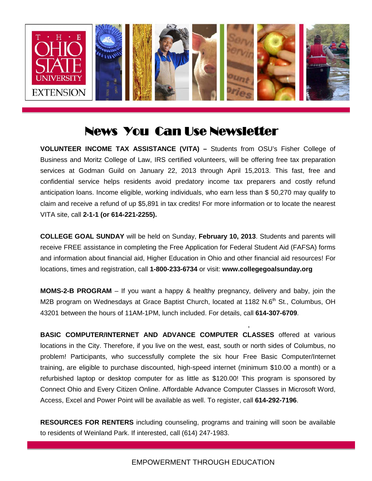

## News You Can Use Newsletter

**VOLUNTEER INCOME TAX ASSISTANCE (VITA) –** Students from OSU's Fisher College of Business and Moritz College of Law, IRS certified volunteers, will be offering free tax preparation services at Godman Guild on January 22, 2013 through April 15,2013. This fast, free and<br>confidential service helps residents avoid predatory income tax preparers and costly refund confidential service helps residents avoid predatory income tax preparers and costly refund anticipation loans. Income eligible, working individuals, who earn less than \$ 50,270 may qualify to<br>claim and receive a refund of up \$5.891 in tax credits! For more information or to locate the nearest claim and receive a refund of up \$5,891 in tax credits! For more information or to locate the nearest VITA site, call **2-1-1 (or 614-221-2255).** 

**COLLEGE GOAL SUNDAY** will be held on Sunday, **February 10, 2013**. Students and parents will receive FREE assistance in completing the Free Application for Federal Student Aid (FAFSA) forms and information about financial aid, Higher Education in Ohio and other financial aid resources! For locations, times and registration, call **1-800-233-6734** or visit: **www.collegegoalsunday.org** 

**MOMS-2-B PROGRAM** – If you want a happy & healthy pregnancy, delivery and baby, join the M2B program on Wednesdays at Grace Baptist Church, located at 1182 N.6<sup>th</sup> St., Columbus, OH 43201 between the hours of 11AM-1PM, lunch included. For details, call **614-307-6709**.

,

**BASIC COMPUTER/INTERNET AND ADVANCE COMPUTER CLASSES** offered at various locations in the City. Therefore, if you live on the west, east, south or north sides of Columbus, no problem! Participants, who successfully complete the six hour Free Basic Computer/Internet training, are eligible to purchase discounted, high-speed internet (minimum \$10.00 a month) or a refurbished laptop or desktop computer for as little as \$120.00! This program is sponsored by Connect Ohio and Every Citizen Online. Affordable Advance Computer Classes in Microsoft Word, Access, Excel and Power Point will be available as well. To register, call **614-292-7196**.

**RESOURCES FOR RENTERS** including counseling, programs and training will soon be available to residents of Weinland Park. If interested, call (614) 247-1983.